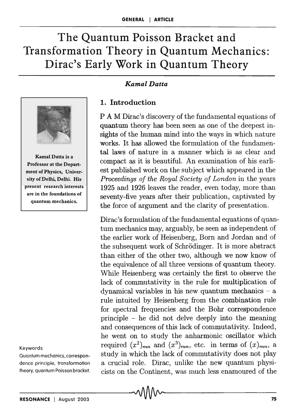# **The Quantum Poisson Bracket and Transformation Theory in Quantum Mechanics: Dirac's Early Work in Quantum Theory**



Kamal Datta is a Professor at the Department of Physics, University of Delhi, Delhi. His present research interests are in the foundations of quantum mechanics.

#### Keywords

Quantum mechanics, correspondence principle, transformation theory, quantum Poisson bracket.

### *Kamal Datta*

# **1. Introduction**

PAM Dirac's discovery of the fundamental equations of quantum theory has been seen as one of the deepest insights of the human mind into the ways in which nature works. It has allowed the formulation of the fundamental laws of nature in a manner which is as clear and compact as it is beautiful. An examination of his earliest published work on the subject which appeared in the *Proceedings of the Royal Society of London* in the years 1925 and 1926 leaves the reader, even today, more than seventy-five years after their publication, captivated by the force of argument and the clarity of presentation.

Dirac's formulation of the fundamental equations of quantum mechanics may, arguably, be seen as independent of the earlier work of Heisenberg, Born and Jordan and of the subsequent work of Schrödinger. It is more abstract than either of the other two, although we now know of the equivalence of all three versions of quantum theory. While Heisenberg was certainly the first to observe the lack of commutativity in the rule for multiplication of dynamical variables in his new quantum mechanics  $-$  a rule intuited by Heisenberg from the combination rule for spectral frequencies and the Bohr correspondence principle - he did not delve deeply into the meaning and consequences of this lack of commutativity. Indeed, he went on to study the anharmonic oscillator which required  $(x^2)_{mn}$  and  $(x^3)_{mn}$ , etc. in terms of  $(x)_{mn}$ , a study in which the lack of commutativity does not play a crucial role. Dirac, unlike the new quantum physicists on the Continent, was much less enamoured of the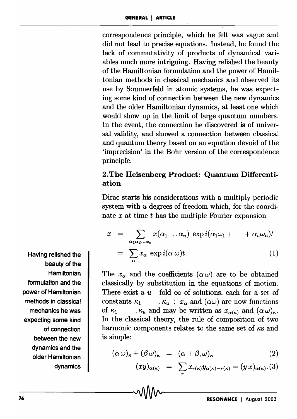correspondence principle, which he felt was vague and did not lead to precise equations. Instead, he found the lack of commutativity of products of dynamical variables much more intriguing. Having relished the beauty of the Hamiltonian formulation and the power of Hamiltonian methods in classical mechanics and observed its use by Sommerfeld in atomic systems, he was expecting some kind of connection between the new dynamics and the older Hamiltonian dynamics, at least one which would show up in the limit of large quantum numbers. In the event, the connection he discovered is of universal validity, and showed a connection between classical and quantum theory based on an equation devoid. of the 'imprecision' in the Bohr version of the correspondence principle.

# 2. The Heisenberg Product: Quantum Differentiation

Dirac starts his considerations with a multiply periodic system with *u* degrees of freedom which, for the coordinate *x* at time *t* has the multiple Fourier expansion

$$
x = \sum_{\alpha_1 \alpha_2 \dots \alpha_u} x(\alpha_1 \dots \alpha_u) \exp i(\alpha_1 \omega_1 + \dots + \alpha_u \omega_u)t
$$
  
= 
$$
\sum_{\alpha} x_{\alpha} \exp i(\alpha \omega)t.
$$
 (1)

The  $x_{\alpha}$  and the coefficients  $(\alpha \omega)$  are to be obtained classically by substitution in the equations of motion. There exist a  $u$  fold  $\infty$  of solutions, each for a set of constants  $\kappa_1$  .  $\kappa_u$  :  $x_\alpha$  and  $(\alpha\omega)$  are now functions of  $\kappa_1$  .  $\kappa_u$  and may be written as  $x_{\alpha(\kappa)}$  and  $(\alpha \omega)_{\kappa}$ . In the classical theory, the rule of composition of two harmonic components relates to the same set of  $\kappa s$  and is simple:

$$
(\alpha \,\omega)_{\kappa} + (\beta \,\omega)_{\kappa} = (\alpha + \beta, \omega)_{\kappa} \tag{2}
$$

$$
(xy)_{\alpha(\kappa)} = \sum_r x_{r(\kappa)} y_{\alpha(\kappa)-r(\kappa)} = (y x)_{\alpha(\kappa)} . (3)
$$

Having relished the beauty of the **Hamiltonian** formulation and the power of Hamiltonian methods in classical mechanics he was expecting some kind of connection between the new dynamics and the older Hamiltonian dynamics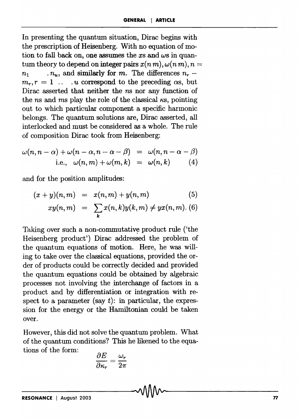In presenting the quantum situation, Dirac begins with the prescription of Heisenberg. With no equation of motion to fall back on, one assumes the *xs* and *ws* in quantum theory to depend on integer pairs  $x(n m)$ ,  $\omega(n m)$ ,  $n =$  $n_1$  *n<sub>u</sub>*, and similarly for m. The differences  $n_r$   $m_r$ ,  $r = 1$  ... *u* correspond to the preceding  $\alpha s$ , but Dirac asserted that neither the *ns* nor any function of the *ns* and *ms* play the role of the classical  $\kappa s$ , pointing out to which particular component a specific harmonic belongs. The quantum solutions are, Dirac asserted, all interlocked and must be considered as a whole. The rule of composition Dirac took from Heisenberg:

$$
\omega(n, n - \alpha) + \omega(n - \alpha, n - \alpha - \beta) = \omega(n, n - \alpha - \beta)
$$
  
i.e., 
$$
\omega(n, m) + \omega(m, k) = \omega(n, k) \qquad (4)
$$

and for the position amplitudes:

$$
(x+y)(n,m) = x(n,m) + y(n,m) \tag{5}
$$

$$
xy(n,m) = \sum_{k} x(n,k)y(k,m) \neq yx(n,m).
$$
 (6)

Taking over such a non-commutative product rule ('the Heisenberg product') Dirac addressed the problem of the quantum equations of motion. Here, he was willing to take over the classical equations, provided the order of products could be correctly decided and provided the quantum equations could be obtained by algebraic processes not involving the interchange of factors in a product and by differentiation or integration with respect to a parameter (say t): in particular, the expression for the energy or the Hamiltonian could be taken over.

However, this did not solve the quantum problem. What of the quantum conditions? This he likened to the equations of the form:

$$
\frac{\partial E}{\partial \kappa_r} = \frac{\omega_r}{2\pi}
$$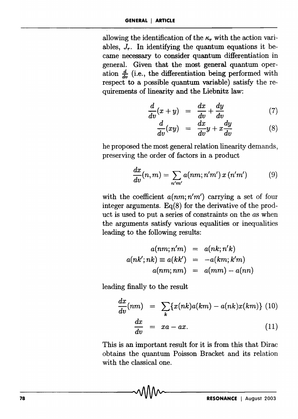allowing the identification of the  $\kappa_r$  with the action variables,  $J_r$ . In identifying the quantum equations it became necessary to consider quantum differentiation in general. Given that the most general quantum operation  $\frac{d}{dx}$  (i.e., the differentiation being performed with respect to a possible quantum variable) satisfy the requirements of linearity and the Liebnitz law:

$$
\frac{d}{dv}(x+y) = \frac{dx}{dv} + \frac{dy}{dv} \tag{7}
$$

$$
\frac{d}{dv}(xy) = \frac{dx}{dv}y + x\frac{dy}{dv} \tag{8}
$$

he proposed the most general relation linearity demands, preserving the order of factors in a product

$$
\frac{dx}{dv}(n,m) = \sum_{n'm'} a(nm;n'm') x(n'm') \qquad (9)
$$

with the coefficient  $a(nm; n'm')$  carrying a set of four integer arguments.  $Eq(8)$  for the derivative of the product is used to put a series of constraints on the *as* when the arguments satisfy various equalities or inequalities leading to the following results:

$$
a(nm;n'm) = a(nk;n'k)
$$
  

$$
a(nk';nk) \equiv a(kk') = -a(km;k'm)
$$
  

$$
a(nm;nm) = a(mm) - a(nn)
$$

leading finally to the result

$$
\frac{dx}{dv}(nm) = \sum_{k} \{x(nk)a(km) - a(nk)x(km)\} (10)
$$

$$
\frac{dx}{dv} = xa - ax.
$$
 (11)

This is an important result for it is from this that Dirac obtains the quantum Poisson Bracket and its relation with the classical one.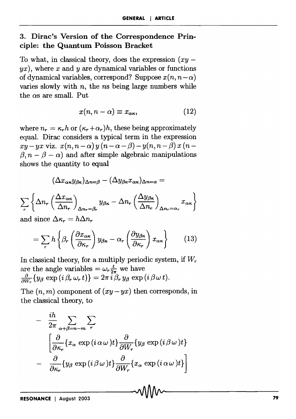# 3. Dirac's Version of the Correspondence Principle: the Quantum Poisson Bracket

To what, in classical theory, does the expression  $(xy$  $yx$ ), where x and y are dynamical variables or functions of dynamical variables, correspond? Suppose  $x(n, n-\alpha)$ varies slowly with *n,* the *ns* being large numbers while the  $\alpha s$  are small. Put

$$
x(n, n - \alpha) \equiv x_{\alpha \kappa}, \qquad (12)
$$

where  $n_r = \kappa_r h$  or  $(\kappa_r + \alpha_r)h$ , these being approximately equal. Dirac considers a typical term in the expression  $xy - yx$  viz.  $x(n, n - \alpha)y(n - \alpha - \beta) - y(n, n - \beta)x(n - \beta)$  $\beta$ ,  $n - \beta - \alpha$ ) and after simple algebraic manipulations shows the quantity to equal

$$
(\Delta x_{\alpha\kappa}y_{\beta\kappa})_{\Delta n=\beta}-(\Delta y_{\beta\kappa}x_{\alpha\kappa})_{\Delta n=\alpha}=
$$

$$
\sum_{r} \left\{ \Delta n_r \left( \frac{\Delta x_{\alpha \kappa}}{\Delta n_r} \right)_{\Delta n_r = \beta_r} y_{\beta \kappa} - \Delta n_r \left( \frac{\Delta y_{\beta \kappa}}{\Delta n_r} \right)_{\Delta n_r = \alpha_r} x_{\alpha \kappa} \right\}
$$

and since  $\Delta \kappa_r = h \Delta n_r$ 

$$
= \sum_{r} h \left\{ \beta_r \left( \frac{\partial x_{\alpha \kappa}}{\partial \kappa_r} \right) y_{\beta \kappa} - \alpha_r \left( \frac{\partial y_{\beta \kappa}}{\partial \kappa_r} \right) x_{\alpha \kappa} \right\} \qquad (13)
$$

In classical theory, for a multiply periodic system, if  $W_r$ are the angle variables =  $\omega_r \frac{t}{2\pi}$  we have  $\frac{\partial}{\partial W_a} \{y_\beta \exp(i \beta_r \omega_r t)\} = 2\pi i \beta_r y_\beta \exp(i \beta \omega t).$ 

The  $(n, m)$  component of  $(xy - yx)$  then corresponds, in the classical theory, to

$$
- \frac{ih}{2\pi} \sum_{\alpha+\beta=n-m} \sum_{r} \left\{\frac{\partial}{\partial \kappa_r} \{x_{\alpha} \exp(i\,\alpha\,\omega\,)t\} \frac{\partial}{\partial W_r} \{y_{\beta} \exp(i\,\beta\,\omega\,)t\}}{-\frac{\partial}{\partial \kappa_r} \{y_{\beta} \exp(i\,\beta\,\omega\,)t\} \frac{\partial}{\partial W_r} \{x_{\alpha} \exp(i\,\alpha\,\omega\,)t\}}\right\}
$$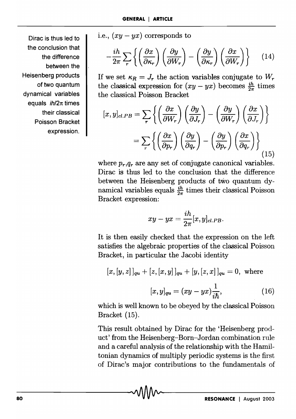Dirac is thus led to the conclusion that the difference between the Heisenberg products of two quantum dynamical variables equals  $$ their classical Poisson Bracket expression. i.e.,  $(xy - yx)$  corresponds to

$$
-\frac{ih}{2\pi}\sum_{r}\left\{\left(\frac{\partial x}{\partial \kappa_{r}}\right)\left(\frac{\partial y}{\partial W_{r}}\right)-\left(\frac{\partial y}{\partial \kappa_{r}}\right)\left(\frac{\partial x}{\partial W_{r}}\right)\right\}\qquad(14)
$$

If we set  $\kappa_R = J_r$  the action variables conjugate to  $W_r$ the classical expression for  $(xy - yx)$  becomes  $\frac{ih}{2\pi}$  times the classical Poisson Bracket

$$
[x, y]_{cl.PB} = \sum_{r} \left\{ \left( \frac{\partial x}{\partial W_r} \right) \left( \frac{\partial y}{\partial J_r} \right) - \left( \frac{\partial y}{\partial W_r} \right) \left( \frac{\partial x}{\partial J_r} \right) \right\}
$$

$$
= \sum_{r} \left\{ \left( \frac{\partial x}{\partial p_r} \right) \left( \frac{\partial y}{\partial q_r} \right) - \left( \frac{\partial y}{\partial p_r} \right) \left( \frac{\partial x}{\partial q_r} \right) \right\}
$$
(15)

where  $p_r, q_r$  are any set of conjugate canonical variables. Dirac is thus led to the conclusion that the difference between the Heisenberg products of two quantum dynamical variables equals  $\frac{ih}{2\pi}$  times their classical Poisson Bracket expression:

$$
xy-yx=\frac{ih}{2\pi}[x,y]_{cl.PB}.
$$

It is then easily checked that the expression on the left satisfies the algebraic properties of the classical Poisson Bracket, in particular the Jacobi identity

$$
[x, [y, z]]_{qu} + [z, [x, y]]_{qu} + [y, [z, x]]_{qu} = 0, \text{ where}
$$

$$
[x, y]_{qu} = (xy - yx)\frac{1}{i\hbar}, \qquad (16)
$$

which is well known to be obeyed by the classical Poisson Bracket (15).

This result obtained by Dirac for the 'Heisenberg product' from the Heisenberg-Born-Jordan combination rule and a careful analysis of the relationship with the Hamiltonian dynamics of multiply periodic systems is the first of Dirac's major contributions to the fundamentals of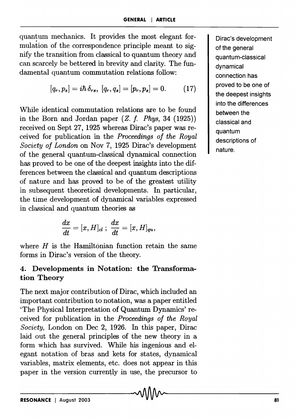quantum mechanics. It provides the most elegant formulation of the correspondence principle meant to signify the transition from classical to quantum theory and can scarcely be bettered in brevity and clarity. The fundamental quantum commutation relations follow:

$$
[q_r, p_s] = i\hbar \, \delta_{rs}, \, [q_r, q_s] = [p_r, p_s] = 0. \qquad (17)
$$

While identical commutation relations are to be found in the Born and Jordan paper *(Z.* f. *Phys,* 34 (1925)) received on Sept 27, 1925 whereas Dirac's paper was received for publication in the *Proceedings of the Royal Society of London* on Nov 7, 1925 Dirac's development of the general quantum-classical dynamical connection has proved to be one of the deepest insights into the differences between the classical and quantum descriptions df nature and has proved to be of the greatest utility in subsequent' theoretical developments. In particular, the time development of dynamical variables expressed in classical and quantum theories as

$$
\frac{dx}{dt}=[x,H]_{cl}\;;\;\frac{dx}{dt}=[x,H]_{qu},
$$

where *H* is the Hamiltonian function retain the same forms in Dirac's version of the theory.

# 4. Developments in Notation: the Transformation Theory

The next major contribution of Dirac, which included an important contribution to notation, was a paper entitled 'The Physical Interpretation of Quantum Dynamics' received for publication in the *Proceedings of the Royal Society,* London on Dec 2, 1926. In this paper, Dirac laid out the general principles of the new theory in a form which has survived. While his ingenious and elegant notation of bras and kets for states, dynamical variables, matrix elements, etc. does not appear in this paper in the version currently in use, the precursor to Dirac's development of the general quantum-classical dynamical connection has proved to be one of the deepest insights into the differences between the classical and quantum descriptions of nature.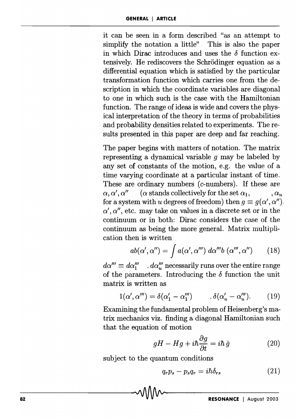it can be seen in a form described "as an attempt to simplify the notation a little" This is also the paper in which Dirac introduces and uses the  $\delta$  function extensively. He rediscovers the Schrödinger equation as a differential equation which is satisfied by the particular transformation function which carries one from the description in which the coordinate variables are diagonal to one in which such is the case with the Hamiltonian function. The range of ideas is wide and covers the physical interpretation of the theory in terms of probabilities and probability densities related to experiments. The results presented in this paper are deep and far reaching.

The paper begins with matters of notation. The matrix representing a dynamical variable *9* may be labeled by any set of constants of the motion, e.g. the value of a time varying coordinate at a particular instant of time. These are ordinary numbers *(c-*numbers). If these are  $\alpha, \alpha', \alpha''$  ( $\alpha$  stands collectively for the set  $\alpha_1, \alpha_2, \alpha_3$ for a system with *u* degrees of freedom) then  $g \equiv g(\alpha', \alpha'')$ .  $\alpha'$ ,  $\alpha''$ , etc. may take on values in a discrete set or in the continuum or in both: Dirac considers the case of the continuum as being the more general. Matrix multiplication then is written

$$
ab(\alpha', \alpha'') = \int a(\alpha', \alpha''') d\alpha''' b(\alpha''', \alpha'')
$$
 (18)

 $d\alpha''' \equiv d\alpha'''_1$  .  $d\alpha'''_u$  necessarily runs over the entire range of the parameters. Introducing the  $\delta$  function the unit matrix is written as

$$
1(\alpha', \alpha''') = \delta(\alpha'_1 - \alpha''_1) \qquad \delta(\alpha'_u - \alpha''_u). \qquad (19)
$$

Examining the fundamental problem of Heisenberg's matrix mechanics viz. finding a diagonal Hamiltonian such that the equation of motion

$$
gH - Hg + i\hbar \frac{\partial g}{\partial t} = i\hbar \,\dot{g} \tag{20}
$$

subject to the quantum conditions

$$
q_r p_s - p_s q_r = i\hbar \delta_{rs} \tag{21}
$$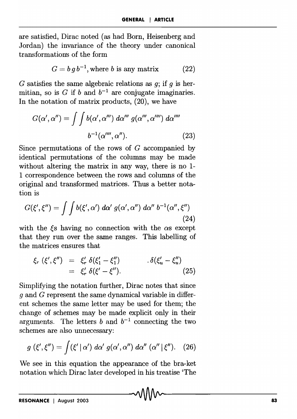are satisfied, Dirac noted (as had Born, Heisenberg and Jordan) the invariance of the theory under canonical transformations of the form

$$
G = b\,g\,b^{-1}, \text{where } b \text{ is any matrix} \tag{22}
$$

G satisfies the same algebraic relations as g; if *9* is hermitian, so is G if b and  $b^{-1}$  are conjugate imaginaries. In the notation of matrix products, (20), we have

$$
G(\alpha', \alpha'') = \int \int b(\alpha', \alpha''') d\alpha''' g(\alpha''', \alpha'''') d\alpha''''
$$

$$
b^{-1}(\alpha'''', \alpha'').
$$
 (23)

Since permutations of the rows of  $G$  accompanied by identical permutations of the columns may be made without altering the matrix in any way, there is no I-I correspondence between the rows and columns of the original and transformed matrices. Thus a better notation is

$$
G(\xi',\xi'') = \int \int b(\xi',\alpha') \; d\alpha' \; g(\alpha',\alpha'') \; d\alpha'' \; b^{-1}(\alpha'',\xi'')
$$
\n(24)

with the  $\xi$ s having no connection with the  $\alpha$ s except that they run over the same ranges. This labelling of the matrices ensures that

$$
\xi_r(\xi',\xi'') = \xi'_r \, \delta(\xi'_1 - \xi''_1) \qquad \delta(\xi'_u - \xi''_u) \n= \xi'_r \, \delta(\xi' - \xi''). \qquad (25)
$$

Simplifying the notation further, Dirac notes that since *9* and G represent the same dynamical variable in different schemes the same letter may be used for them; the change of schemes may be made explicit only in their arguments. The letters  $b$  and  $b^{-1}$  connecting the two schemes are also unnecessary:

$$
g\left(\xi',\xi''\right)=\int (\xi'\mid\alpha')\;d\alpha'\;g(\alpha',\alpha'')\;d\alpha''\;(\alpha''\mid\xi'').\quad(26)
$$

We see in this equation the appearance of the bra-ket notation which Dirac later developed in his treatise 'The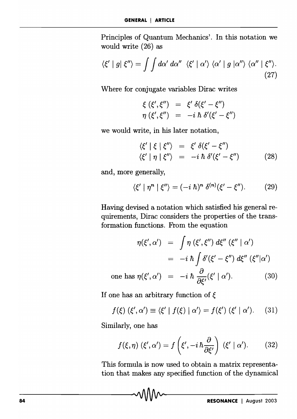Principles of Quantum Mechanics'. In this notation we would write (26) as

$$
\langle \xi' \mid g \mid \xi'' \rangle = \int \int d\alpha' \, d\alpha'' \, \langle \xi' \mid \alpha' \rangle \, \langle \alpha' \mid g \mid \alpha'' \rangle \, \langle \alpha'' \mid \xi'' \rangle. \tag{27}
$$

Where for conjugate variables Dirac writes

$$
\xi(\xi',\xi'') = \xi' \delta(\xi'-\xi'')
$$
  
\n
$$
\eta(\xi',\xi'') = -i \hbar \delta'(\xi'-\xi'')
$$

we would write, in his later notation,

$$
\begin{array}{rcl}\n\langle \xi' \mid \xi \mid \xi'' \rangle & = & \xi' \, \delta(\xi' - \xi'') \\
\langle \xi' \mid \eta \mid \xi'' \rangle & = & -i \, \hbar \, \delta'(\xi' - \xi'')\n\end{array}\n\tag{28}
$$

and, more generally,

$$
\langle \xi' \mid \eta^n \mid \xi'' \rangle = (-i \hbar)^n \delta^{(n)}(\xi' - \xi''). \tag{29}
$$

Having devised a notation which satisfied his general requirements, Dirac considers the properties of the transformation functions. From the equation

$$
\eta(\xi', \alpha') = \int \eta(\xi', \xi'') d\xi''(\xi'' \mid \alpha')
$$
  
=  $-i \hbar \int \delta'(\xi' - \xi'') d\xi''(\xi'' \mid \alpha')$   
one has  $\eta(\xi', \alpha') = -i \hbar \frac{\partial}{\partial \xi'}(\xi' \mid \alpha')$ . (30)

If one has an arbitrary function of  $\xi$ 

$$
f(\xi) (\xi', \alpha') \equiv \langle \xi' | f(\xi) | \alpha' \rangle = f(\xi') (\xi' | \alpha'). \quad (31)
$$

Similarly, one has

$$
f(\xi,\eta)(\xi',\alpha') = f\left(\xi', -i\,\hbar\frac{\partial}{\partial\xi'}\right)(\xi' \mid \alpha'). \tag{32}
$$

This formula is now used to obtain a matrix representation that makes any specified function of the dynamical